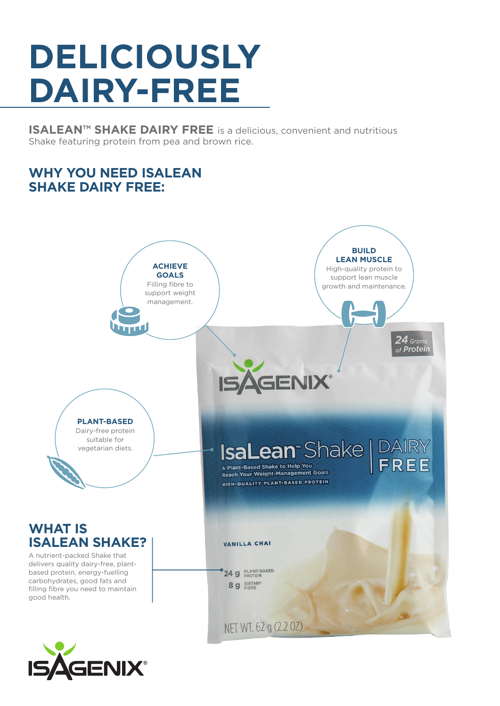# **DELICIOUSLY DAIRY-FREE**

**ISALEAN™ SHAKE DAIRY FREE** is a delicious, convenient and nutritious Shake featuring protein from pea and brown rice.

# **WHY YOU NEED ISALEAN SHAKE DAIRY FREE:**